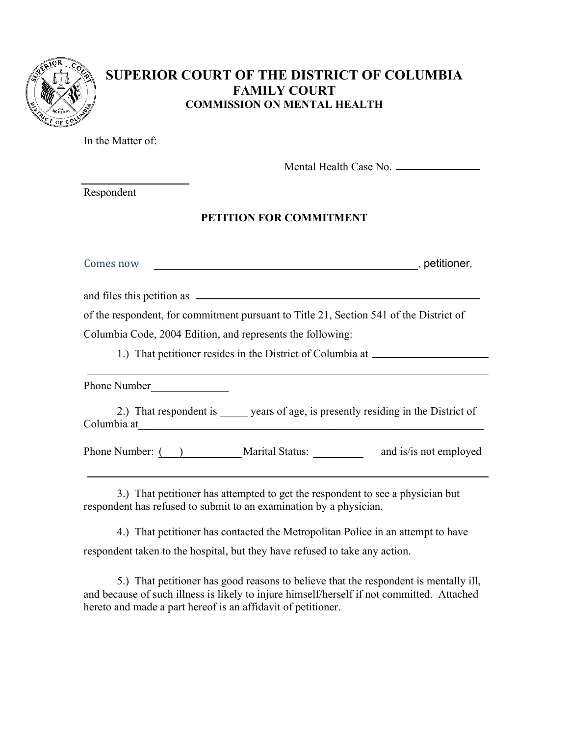

# **SUPERIOR COURT OF THE DISTRICT OF COLUMBIA FAMILY COURT COMMISSION ON MENTAL HEALTH**

In the Matter of:

Mental Health Case No.

Respondent

## **PETITION FOR COMMITMENT**

| Comes now | petitioner, |
|-----------|-------------|
|           |             |

and files this petition as  $\overline{\qquad \qquad }$ 

of the respondent, for commitment pursuant to Title 21, Section 541 of the District of

Columbia Code, 2004 Edition, and represents the following:

1.) That petitioner resides in the District of Columbia at

Phone Number

2.) That respondent is years of age, is presently residing in the District of Columbia at

Phone Number: ( ) Marital Status: \_\_\_\_\_\_\_\_\_ and is/is not employed

3.) That petitioner has attempted to get the respondent to see a physician but respondent has refused to submit to an examination by a physician.

 4.) That petitioner has contacted the Metropolitan Police in an attempt to have respondent taken to the hospital, but they have refused to take any action.

5.) That petitioner has good reasons to believe that the respondent is mentally ill, and because of such illness is likely to injure himself/herself if not committed. Attached hereto and made a part hereof is an affidavit of petitioner.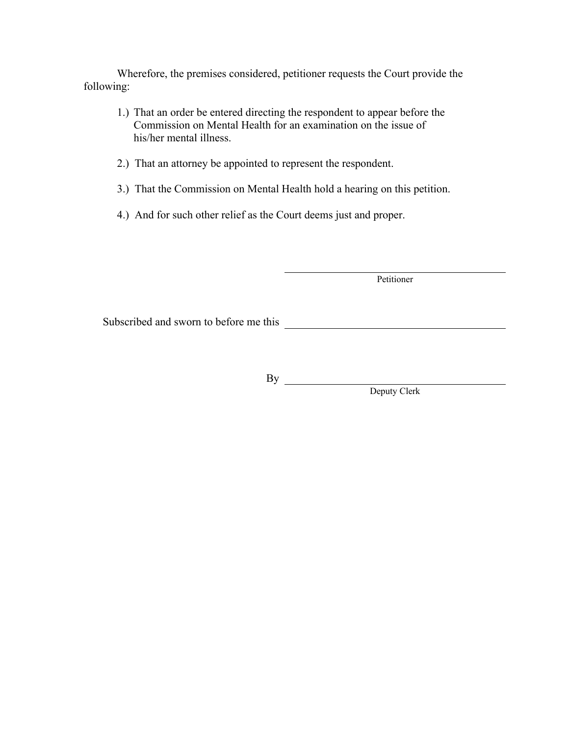Wherefore, the premises considered, petitioner requests the Court provide the following:

- 1.) That an order be entered directing the respondent to appear before the Commission on Mental Health for an examination on the issue of his/her mental illness.
- 2.) That an attorney be appointed to represent the respondent.
- 3.) That the Commission on Mental Health hold a hearing on this petition.
- 4.) And for such other relief as the Court deems just and proper.

Petitioner

Subscribed and sworn to before me this

By

Deputy Clerk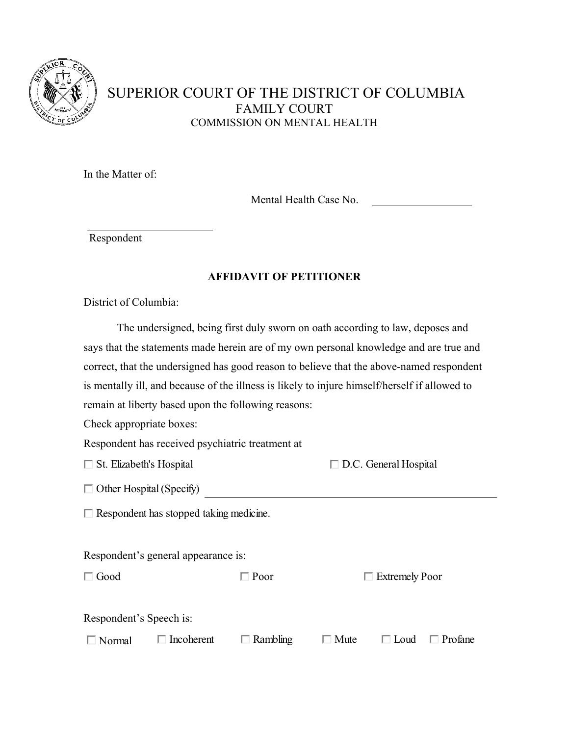

# SUPERIOR COURT OF THE DISTRICT OF COLUMBIA FAMILY COURT COMMISSION ON MENTAL HEALTH

In the Matter of:

Mental Health Case No.

Respondent

#### **AFFIDAVIT OF PETITIONER**

District of Columbia:

 The undersigned, being first duly sworn on oath according to law, deposes and says that the statements made herein are of my own personal knowledge and are true and correct, that the undersigned has good reason to believe that the above-named respondent is mentally ill, and because of the illness is likely to injure himself/herself if allowed to remain at liberty based upon the following reasons:

Check appropriate boxes:

Respondent has received psychiatric treatment at

| $\Box$ St. Elizabeth's Hospital | $\Box$ D.C. General Hospital |
|---------------------------------|------------------------------|
|---------------------------------|------------------------------|

Other Hospital (Specify)

 $\Box$  Respondent has stopped taking medicine.

Respondent's general appearance is:

□ Good □ Poor □ Extremely Poor

Respondent's Speech is:

|  | $\Box$ Normal $\Box$ Incoherent $\Box$ Rambling $\Box$ Mute $\Box$ Loud $\Box$ Profane |  |  |
|--|----------------------------------------------------------------------------------------|--|--|
|  |                                                                                        |  |  |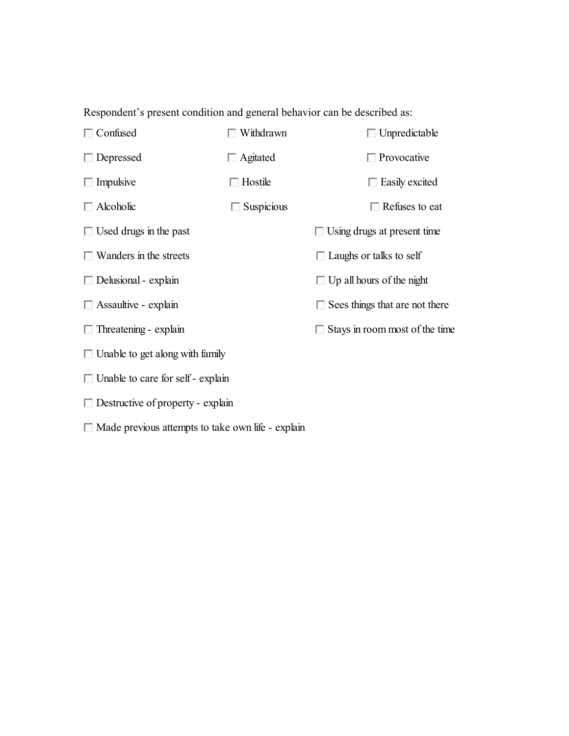Respondent's present condition and general behavior can be described as:



Made previous attempts to take own life - explain